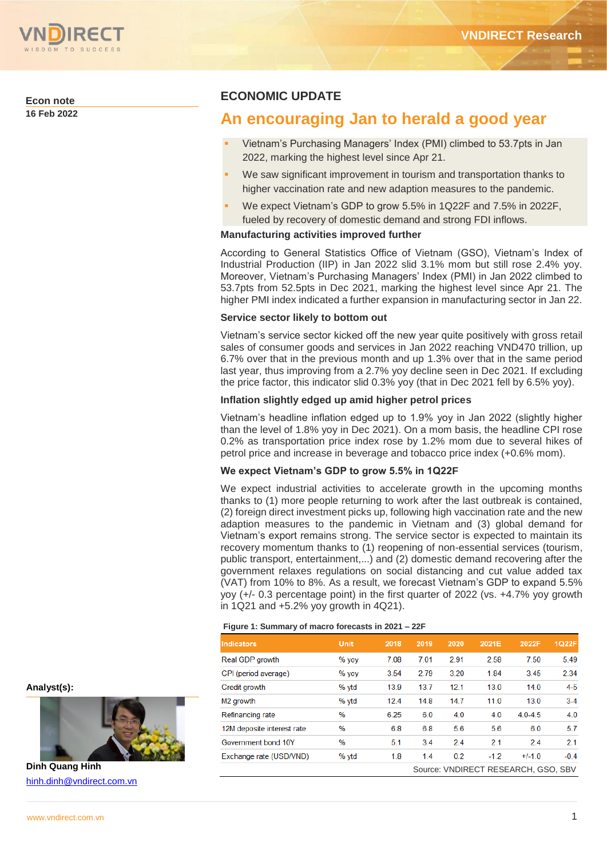

**Econ note**

**16 Feb 2022**

# **ECONOMIC UPDATE**

# **An encouraging Jan to herald a good year**

- Vietnam's Purchasing Managers' Index (PMI) climbed to 53.7pts in Jan 2022, marking the highest level since Apr 21.
- We saw significant improvement in tourism and transportation thanks to higher vaccination rate and new adaption measures to the pandemic.
- We expect Vietnam's GDP to grow 5.5% in 1Q22F and 7.5% in 2022F, fueled by recovery of domestic demand and strong FDI inflows.

### **Manufacturing activities improved further**

According to General Statistics Office of Vietnam (GSO), Vietnam's Index of Industrial Production (IIP) in Jan 2022 slid 3.1% mom but still rose 2.4% yoy. Moreover, Vietnam's Purchasing Managers' Index (PMI) in Jan 2022 climbed to 53.7pts from 52.5pts in Dec 2021, marking the highest level since Apr 21. The higher PMI index indicated a further expansion in manufacturing sector in Jan 22.

### **Service sector likely to bottom out**

Vietnam's service sector kicked off the new year quite positively with gross retail sales of consumer goods and services in Jan 2022 reaching VND470 trillion, up 6.7% over that in the previous month and up 1.3% over that in the same period last year, thus improving from a 2.7% yoy decline seen in Dec 2021. If excluding the price factor, this indicator slid 0.3% yoy (that in Dec 2021 fell by 6.5% yoy).

### **Inflation slightly edged up amid higher petrol prices**

Vietnam's headline inflation edged up to 1.9% yoy in Jan 2022 (slightly higher than the level of 1.8% yoy in Dec 2021). On a mom basis, the headline CPI rose 0.2% as transportation price index rose by 1.2% mom due to several hikes of petrol price and increase in beverage and tobacco price index (+0.6% mom).

#### **We expect Vietnam's GDP to grow 5.5% in 1Q22F**

We expect industrial activities to accelerate growth in the upcoming months thanks to (1) more people returning to work after the last outbreak is contained, (2) foreign direct investment picks up, following high vaccination rate and the new adaption measures to the pandemic in Vietnam and (3) global demand for Vietnam's export remains strong. The service sector is expected to maintain its recovery momentum thanks to (1) reopening of non-essential services (tourism, public transport, entertainment,...) and (2) domestic demand recovering after the government relaxes regulations on social distancing and cut value added tax (VAT) from 10% to 8%. As a result, we forecast Vietnam's GDP to expand 5.5% yoy (+/- 0.3 percentage point) in the first quarter of 2022 (vs. +4.7% yoy growth in 1Q21 and +5.2% yoy growth in 4Q21).

#### **Figure 1: Summary of macro forecasts in 2021 – 22F**

| Indicators                 | <b>Unit</b> | 2018 | 2019 | 2020 | 2021E  | 2022F                               | 1Q22F   |
|----------------------------|-------------|------|------|------|--------|-------------------------------------|---------|
| Real GDP growth            | $%$ yoy     | 7.08 | 7.01 | 2.91 | 2.58   | 7.50                                | 5.49    |
| CPI (period average)       | $%$ yoy     | 3.54 | 2.79 | 3.20 | 1.84   | 3.45                                | 2.34    |
| Credit arowth              | % ytd       | 13.9 | 13.7 | 12.1 | 13.0   | 14.0                                | $4 - 5$ |
| M <sub>2</sub> growth      | % ytd       | 12.4 | 14.8 | 14.7 | 11.0   | 13.0                                | $3-4$   |
| Refinancing rate           | $\%$        | 6.25 | 6.0  | 4.0  | 4.0    | $4.0 - 4.5$                         | 4.0     |
| 12M deposite interest rate | %           | 6.8  | 6.8  | 5.6  | 5.6    | 6.0                                 | 5.7     |
| Government bond 10Y        | %           | 5.1  | 3.4  | 2.4  | 2.1    | 2.4                                 | 2.1     |
| Exchange rate (USD/VND)    | % ytd       | 1.8  | 1.4  | 0.2  | $-1.2$ | $+/-1.0$                            | $-0.4$  |
|                            |             |      |      |      |        | Source: VNDIRECT RESEARCH, GSO, SBV |         |

**Analyst(s):**



**Dinh Quang Hinh** [hinh.dinh@vndirect.com.vn](mailto:hinh.dinh@vndirect.com.vn)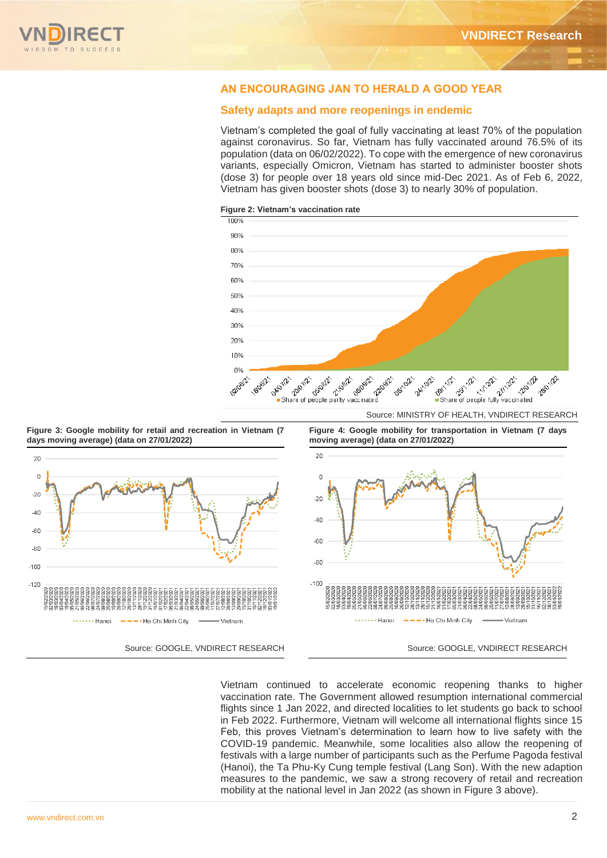

# **AN ENCOURAGING JAN TO HERALD A GOOD YEAR**

### **Safety adapts and more reopenings in endemic**

Vietnam's completed the goal of fully vaccinating at least 70% of the population against coronavirus. So far, Vietnam has fully vaccinated around 76.5% of its population (data on 06/02/2022). To cope with the emergence of new coronavirus variants, especially Omicron, Vietnam has started to administer booster shots (dose 3) for people over 18 years old since mid-Dec 2021. As of Feb 6, 2022, Vietnam has given booster shots (dose 3) to nearly 30% of population.

**Figure 2: Vietnam's vaccination rate**



**Figure 3: Google mobility for retail and recreation in Vietnam (7 days moving average) (data on 27/01/2022)** 



**Figure 4: Google mobility for transportation in Vietnam (7 days moving average) (data on 27/01/2022)**



Vietnam continued to accelerate economic reopening thanks to higher vaccination rate. The Government allowed resumption international commercial flights since 1 Jan 2022, and directed localities to let students go back to school in Feb 2022. Furthermore, Vietnam will welcome all international flights since 15 Feb, this proves Vietnam's determination to learn how to live safety with the COVID-19 pandemic. Meanwhile, some localities also allow the reopening of festivals with a large number of participants such as the Perfume Pagoda festival (Hanoi), the Ta Phu-Ky Cung temple festival (Lang Son). With the new adaption measures to the pandemic, we saw a strong recovery of retail and recreation mobility at the national level in Jan 2022 (as shown in Figure 3 above).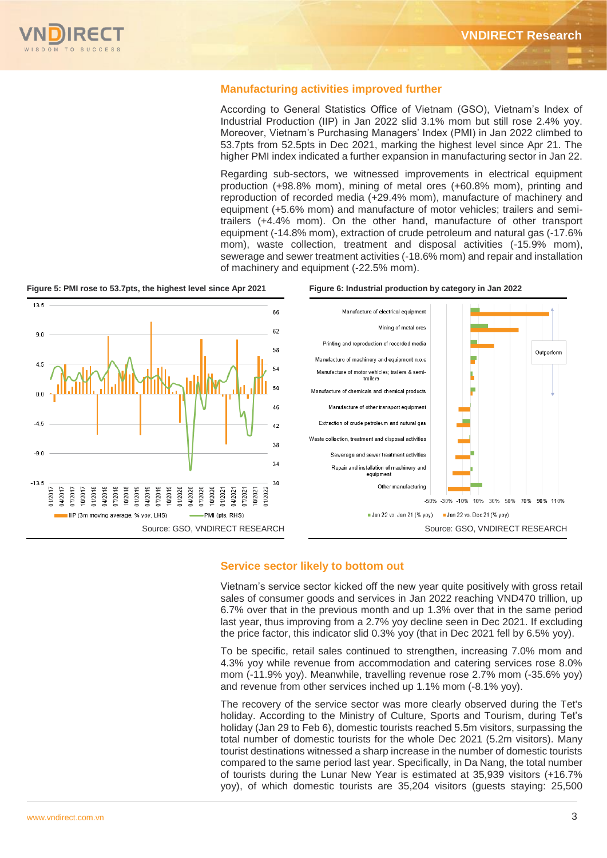## **Manufacturing activities improved further**

According to General Statistics Office of Vietnam (GSO), Vietnam's Index of Industrial Production (IIP) in Jan 2022 slid 3.1% mom but still rose 2.4% yoy. Moreover, Vietnam's Purchasing Managers' Index (PMI) in Jan 2022 climbed to 53.7pts from 52.5pts in Dec 2021, marking the highest level since Apr 21. The higher PMI index indicated a further expansion in manufacturing sector in Jan 22.

Regarding sub-sectors, we witnessed improvements in electrical equipment production (+98.8% mom), mining of metal ores (+60.8% mom), printing and reproduction of recorded media (+29.4% mom), manufacture of machinery and equipment (+5.6% mom) and manufacture of motor vehicles; trailers and semitrailers (+4.4% mom). On the other hand, manufacture of other transport equipment (-14.8% mom), extraction of crude petroleum and natural gas (-17.6% mom), waste collection, treatment and disposal activities (-15.9% mom), sewerage and sewer treatment activities (-18.6% mom) and repair and installation of machinery and equipment (-22.5% mom).

**Figure 5: PMI rose to 53.7pts, the highest level since Apr 2021 Figure 6: Industrial production by category in Jan 2022**







## **Service sector likely to bottom out**

Vietnam's service sector kicked off the new year quite positively with gross retail sales of consumer goods and services in Jan 2022 reaching VND470 trillion, up 6.7% over that in the previous month and up 1.3% over that in the same period last year, thus improving from a 2.7% yoy decline seen in Dec 2021. If excluding the price factor, this indicator slid 0.3% yoy (that in Dec 2021 fell by 6.5% yoy).

To be specific, retail sales continued to strengthen, increasing 7.0% mom and 4.3% yoy while revenue from accommodation and catering services rose 8.0% mom (-11.9% yoy). Meanwhile, travelling revenue rose 2.7% mom (-35.6% yoy) and revenue from other services inched up 1.1% mom (-8.1% yoy).

The recovery of the service sector was more clearly observed during the Tet's holiday. According to the Ministry of Culture, Sports and Tourism, during Tet's holiday (Jan 29 to Feb 6), domestic tourists reached 5.5m visitors, surpassing the total number of domestic tourists for the whole Dec 2021 (5.2m visitors). Many tourist destinations witnessed a sharp increase in the number of domestic tourists compared to the same period last year. Specifically, in Da Nang, the total number of tourists during the Lunar New Year is estimated at 35,939 visitors (+16.7% yoy), of which domestic tourists are 35,204 visitors (guests staying: 25,500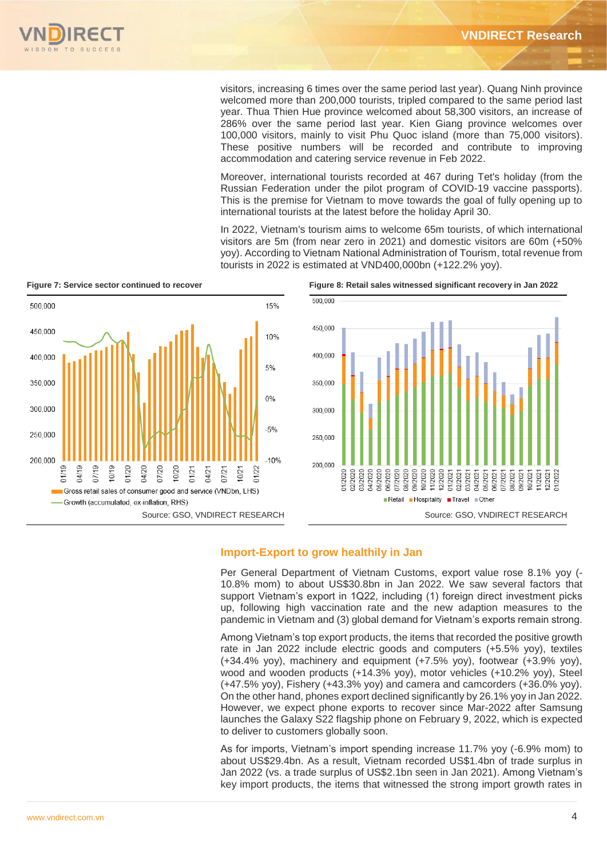

visitors, increasing 6 times over the same period last year). Quang Ninh province welcomed more than 200,000 tourists, tripled compared to the same period last year. Thua Thien Hue province welcomed about 58,300 visitors, an increase of 286% over the same period last year. Kien Giang province welcomes over 100,000 visitors, mainly to visit Phu Quoc island (more than 75,000 visitors). These positive numbers will be recorded and contribute to improving accommodation and catering service revenue in Feb 2022.

Moreover, international tourists recorded at 467 during Tet's holiday (from the Russian Federation under the pilot program of COVID-19 vaccine passports). This is the premise for Vietnam to move towards the goal of fully opening up to international tourists at the latest before the holiday April 30.

In 2022, Vietnam's tourism aims to welcome 65m tourists, of which international visitors are 5m (from near zero in 2021) and domestic visitors are 60m (+50% yoy). According to Vietnam National Administration of Tourism, total revenue from tourists in 2022 is estimated at VND400,000bn (+122.2% yoy).



**Figure 7: Service sector continued to recover Figure 8: Retail sales witnessed significant recovery in Jan 2022**



# **Import-Export to grow healthily in Jan**

Per General Department of Vietnam Customs, export value rose 8.1% yoy (- 10.8% mom) to about US\$30.8bn in Jan 2022. We saw several factors that support Vietnam's export in 1Q22, including (1) foreign direct investment picks up, following high vaccination rate and the new adaption measures to the pandemic in Vietnam and (3) global demand for Vietnam's exports remain strong.

Among Vietnam's top export products, the items that recorded the positive growth rate in Jan 2022 include electric goods and computers (+5.5% yoy), textiles (+34.4% yoy), machinery and equipment (+7.5% yoy), footwear (+3.9% yoy), wood and wooden products (+14.3% yoy), motor vehicles (+10.2% yoy), Steel (+47.5% yoy), Fishery (+43.3% yoy) and camera and camcorders (+36.0% yoy). On the other hand, phones export declined significantly by 26.1% yoy in Jan 2022. However, we expect phone exports to recover since Mar-2022 after Samsung launches the Galaxy S22 flagship phone on February 9, 2022, which is expected to deliver to customers globally soon.

As for imports, Vietnam's import spending increase 11.7% yoy (-6.9% mom) to about US\$29.4bn. As a result, Vietnam recorded US\$1.4bn of trade surplus in Jan 2022 (vs. a trade surplus of US\$2.1bn seen in Jan 2021). Among Vietnam's key import products, the items that witnessed the strong import growth rates in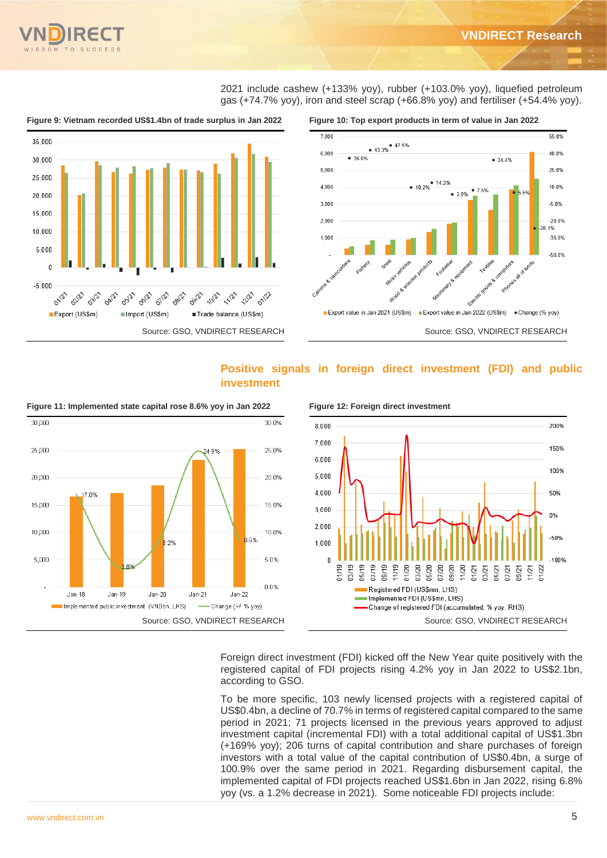

2021 include cashew (+133% yoy), rubber (+103.0% yoy), liquefied petroleum gas (+74.7% yoy), iron and steel scrap (+66.8% yoy) and fertiliser (+54.4% yoy).



# **Positive signals in foreign direct investment (FDI) and public investment**



**Figure 11: Implemented state capital rose 8.6% yoy in Jan 2022 Figure 12: Foreign direct investment** 



# Foreign direct investment (FDI) kicked off the New Year quite positively with the registered capital of FDI projects rising 4.2% yoy in Jan 2022 to US\$2.1bn, according to GSO.

To be more specific, 103 newly licensed projects with a registered capital of US\$0.4bn, a decline of 70.7% in terms of registered capital compared to the same period in 2021; 71 projects licensed in the previous years approved to adjust investment capital (incremental FDI) with a total additional capital of US\$1.3bn (+169% yoy); 206 turns of capital contribution and share purchases of foreign investors with a total value of the capital contribution of US\$0.4bn, a surge of 100.9% over the same period in 2021. Regarding disbursement capital, the implemented capital of FDI projects reached US\$1.6bn in Jan 2022, rising 6.8% yoy (vs. a 1.2% decrease in 2021). Some noticeable FDI projects include: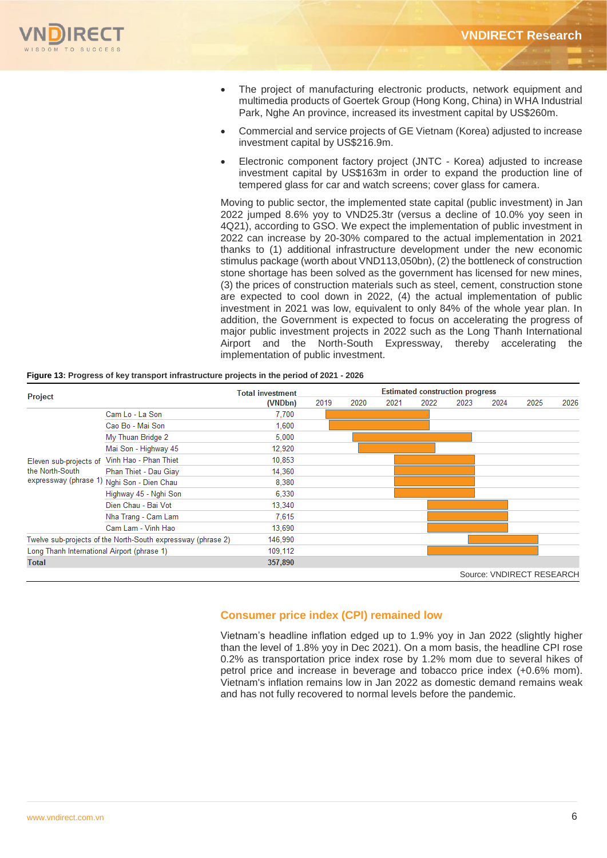- The project of manufacturing electronic products, network equipment and multimedia products of Goertek Group (Hong Kong, China) in WHA Industrial Park, Nghe An province, increased its investment capital by US\$260m.
- Commercial and service projects of GE Vietnam (Korea) adjusted to increase investment capital by US\$216.9m.
- Electronic component factory project (JNTC Korea) adjusted to increase investment capital by US\$163m in order to expand the production line of tempered glass for car and watch screens; cover glass for camera.

Moving to public sector, the implemented state capital (public investment) in Jan 2022 jumped 8.6% yoy to VND25.3tr (versus a decline of 10.0% yoy seen in 4Q21), according to GSO. We expect the implementation of public investment in 2022 can increase by 20-30% compared to the actual implementation in 2021 thanks to (1) additional infrastructure development under the new economic stimulus package (worth about VND113,050bn), (2) the bottleneck of construction stone shortage has been solved as the government has licensed for new mines, (3) the prices of construction materials such as steel, cement, construction stone are expected to cool down in 2022, (4) the actual implementation of public investment in 2021 was low, equivalent to only 84% of the whole year plan. In addition, the Government is expected to focus on accelerating the progress of major public investment projects in 2022 such as the Long Thanh International Airport and the North-South Expressway, thereby accelerating the implementation of public investment.

|  | Figure 13: Progress of key transport infrastructure projects in the period of 2021 - 2026 |  |  |
|--|-------------------------------------------------------------------------------------------|--|--|
|  |                                                                                           |  |  |

|                                             |                                                              | <b>Total investment</b> | <b>Estimated construction progress</b> |      |      |      |      |                           |      |      |
|---------------------------------------------|--------------------------------------------------------------|-------------------------|----------------------------------------|------|------|------|------|---------------------------|------|------|
| Project                                     |                                                              | (VNDbn)                 | 2019                                   | 2020 | 2021 | 2022 | 2023 | 2024                      | 2025 | 2026 |
|                                             | Cam Lo - La Son                                              | 7.700                   |                                        |      |      |      |      |                           |      |      |
|                                             | Cao Bo - Mai Son                                             | 1,600                   |                                        |      |      |      |      |                           |      |      |
|                                             | My Thuan Bridge 2                                            | 5,000                   |                                        |      |      |      |      |                           |      |      |
|                                             | Mai Son - Highway 45                                         | 12,920                  |                                        |      |      |      |      |                           |      |      |
| Eleven sub-projects of                      | Vinh Hao - Phan Thiet                                        | 10,853                  |                                        |      |      |      |      |                           |      |      |
| the North-South<br>expressway (phrase 1)    | Phan Thiet - Dau Giay                                        | 14,360                  |                                        |      |      |      |      |                           |      |      |
|                                             | Nghi Son - Dien Chau                                         | 8,380                   |                                        |      |      |      |      |                           |      |      |
|                                             | Highway 45 - Nghi Son                                        | 6,330                   |                                        |      |      |      |      |                           |      |      |
|                                             | Dien Chau - Bai Vot                                          | 13,340                  |                                        |      |      |      |      |                           |      |      |
|                                             | Nha Trang - Cam Lam                                          | 7,615                   |                                        |      |      |      |      |                           |      |      |
|                                             | Cam Lam - Vinh Hao                                           | 13.690                  |                                        |      |      |      |      |                           |      |      |
|                                             | Twelve sub-projects of the North-South expressway (phrase 2) | 146,990                 |                                        |      |      |      |      |                           |      |      |
| Long Thanh International Airport (phrase 1) |                                                              | 109,112                 |                                        |      |      |      |      |                           |      |      |
| <b>Total</b>                                |                                                              | 357,890                 |                                        |      |      |      |      |                           |      |      |
|                                             |                                                              |                         |                                        |      |      |      |      | Source: VNDIRECT RESEARCH |      |      |

## **Consumer price index (CPI) remained low**

Vietnam's headline inflation edged up to 1.9% yoy in Jan 2022 (slightly higher than the level of 1.8% yoy in Dec 2021). On a mom basis, the headline CPI rose 0.2% as transportation price index rose by 1.2% mom due to several hikes of petrol price and increase in beverage and tobacco price index (+0.6% mom). Vietnam's inflation remains low in Jan 2022 as domestic demand remains weak and has not fully recovered to normal levels before the pandemic.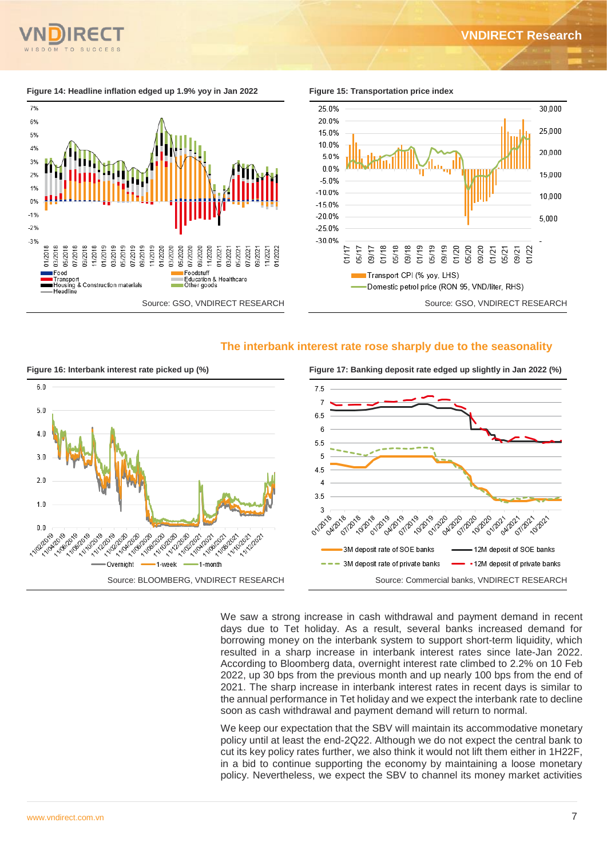30.000

25.000

20,000

15,000

10 000

 $5,000$ 

01/22

01/21 05/21 09/21



Figure 14: Headline inflation edged up 1.9% yoy in Jan 2022 Figure 15: Transportation price index



## **The interbank interest rate rose sharply due to the seasonality**



We saw a strong increase in cash withdrawal and payment demand in recent days due to Tet holiday. As a result, several banks increased demand for borrowing money on the interbank system to support short-term liquidity, which resulted in a sharp increase in interbank interest rates since late-Jan 2022. According to Bloomberg data, overnight interest rate climbed to 2.2% on 10 Feb 2022, up 30 bps from the previous month and up nearly 100 bps from the end of 2021. The sharp increase in interbank interest rates in recent days is similar to the annual performance in Tet holiday and we expect the interbank rate to decline soon as cash withdrawal and payment demand will return to normal.

We keep our expectation that the SBV will maintain its accommodative monetary policy until at least the end-2Q22. Although we do not expect the central bank to cut its key policy rates further, we also think it would not lift them either in 1H22F, in a bid to continue supporting the economy by maintaining a loose monetary policy. Nevertheless, we expect the SBV to channel its money market activities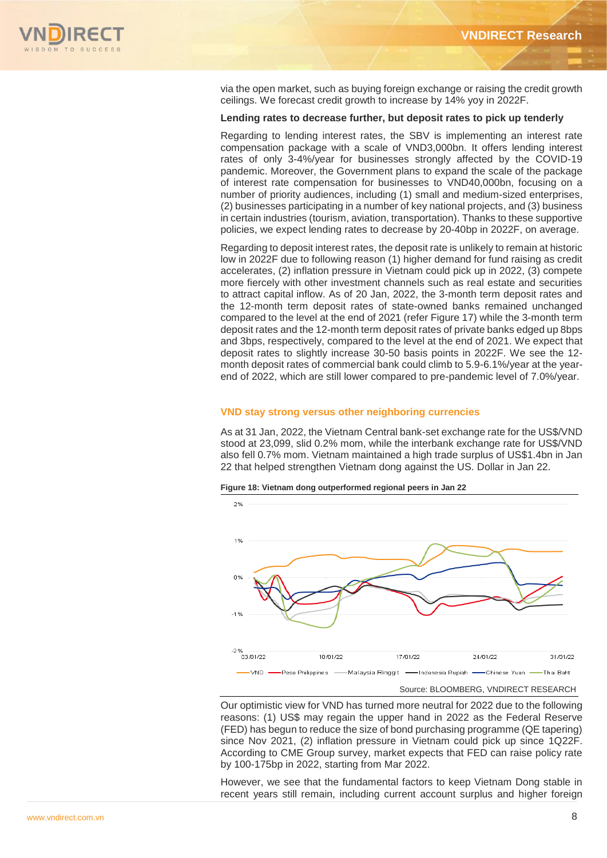

via the open market, such as buying foreign exchange or raising the credit growth ceilings. We forecast credit growth to increase by 14% yoy in 2022F.

### **Lending rates to decrease further, but deposit rates to pick up tenderly**

Regarding to lending interest rates, the SBV is implementing an interest rate compensation package with a scale of VND3,000bn. It offers lending interest rates of only 3-4%/year for businesses strongly affected by the COVID-19 pandemic. Moreover, the Government plans to expand the scale of the package of interest rate compensation for businesses to VND40,000bn, focusing on a number of priority audiences, including (1) small and medium-sized enterprises, (2) businesses participating in a number of key national projects, and (3) business in certain industries (tourism, aviation, transportation). Thanks to these supportive policies, we expect lending rates to decrease by 20-40bp in 2022F, on average.

Regarding to deposit interest rates, the deposit rate is unlikely to remain at historic low in 2022F due to following reason (1) higher demand for fund raising as credit accelerates, (2) inflation pressure in Vietnam could pick up in 2022, (3) compete more fiercely with other investment channels such as real estate and securities to attract capital inflow. As of 20 Jan, 2022, the 3-month term deposit rates and the 12-month term deposit rates of state-owned banks remained unchanged compared to the level at the end of 2021 (refer Figure 17) while the 3-month term deposit rates and the 12-month term deposit rates of private banks edged up 8bps and 3bps, respectively, compared to the level at the end of 2021. We expect that deposit rates to slightly increase 30-50 basis points in 2022F. We see the 12 month deposit rates of commercial bank could climb to 5.9-6.1%/year at the yearend of 2022, which are still lower compared to pre-pandemic level of 7.0%/year.

#### **VND stay strong versus other neighboring currencies**

As at 31 Jan, 2022, the Vietnam Central bank-set exchange rate for the US\$/VND stood at 23,099, slid 0.2% mom, while the interbank exchange rate for US\$/VND also fell 0.7% mom. Vietnam maintained a high trade surplus of US\$1.4bn in Jan 22 that helped strengthen Vietnam dong against the US. Dollar in Jan 22.



**Figure 18: Vietnam dong outperformed regional peers in Jan 22** 

Our optimistic view for VND has turned more neutral for 2022 due to the following reasons: (1) US\$ may regain the upper hand in 2022 as the Federal Reserve (FED) has begun to reduce the size of bond purchasing programme (QE tapering) since Nov 2021, (2) inflation pressure in Vietnam could pick up since 1Q22F. According to CME Group survey, market expects that FED can raise policy rate by 100-175bp in 2022, starting from Mar 2022.

However, we see that the fundamental factors to keep Vietnam Dong stable in recent years still remain, including current account surplus and higher foreign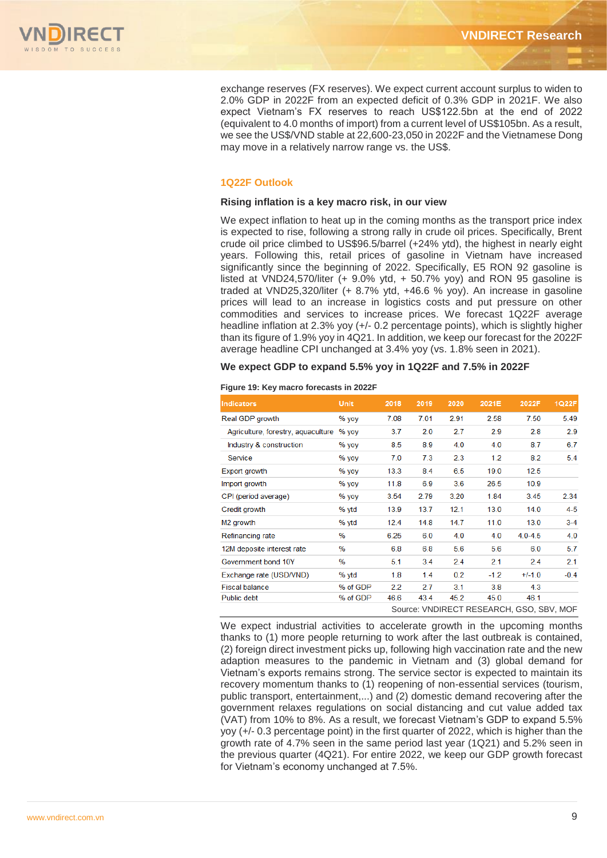

exchange reserves (FX reserves). We expect current account surplus to widen to 2.0% GDP in 2022F from an expected deficit of 0.3% GDP in 2021F. We also expect Vietnam's FX reserves to reach US\$122.5bn at the end of 2022 (equivalent to 4.0 months of import) from a current level of US\$105bn. As a result, we see the US\$/VND stable at 22,600-23,050 in 2022F and the Vietnamese Dong may move in a relatively narrow range vs. the US\$.

### **1Q22F Outlook**

### **Rising inflation is a key macro risk, in our view**

We expect inflation to heat up in the coming months as the transport price index is expected to rise, following a strong rally in crude oil prices. Specifically, Brent crude oil price climbed to US\$96.5/barrel (+24% ytd), the highest in nearly eight years. Following this, retail prices of gasoline in Vietnam have increased significantly since the beginning of 2022. Specifically, E5 RON 92 gasoline is listed at VND24,570/liter (+ 9.0% ytd, + 50.7% yoy) and RON 95 gasoline is traded at VND25,320/liter (+ 8.7% ytd, +46.6 % yoy). An increase in gasoline prices will lead to an increase in logistics costs and put pressure on other commodities and services to increase prices. We forecast 1Q22F average headline inflation at 2.3% yoy (+/- 0.2 percentage points), which is slightly higher than its figure of 1.9% yoy in 4Q21. In addition, we keep our forecast for the 2022F average headline CPI unchanged at 3.4% yoy (vs. 1.8% seen in 2021).

#### **We expect GDP to expand 5.5% yoy in 1Q22F and 7.5% in 2022F**

|  | Figure 19: Key macro forecasts in 2022F |  |
|--|-----------------------------------------|--|
|  |                                         |  |

| <b>Indicators</b>                  | <b>Unit</b> | 2018 | 2019 | 2020 | 2021E  | 2022F                                    | 1Q22F   |
|------------------------------------|-------------|------|------|------|--------|------------------------------------------|---------|
| Real GDP growth                    | $%$ yoy     | 7.08 | 7.01 | 2.91 | 2.58   | 7.50                                     | 5.49    |
| Agriculture, forestry, aguaculture | $%$ yoy     | 3.7  | 2.0  | 2.7  | 2.9    | 2.8                                      | 2.9     |
| Industry & construction            | $%$ yoy     | 8.5  | 8.9  | 4.0  | 4.0    | 8.7                                      | 6.7     |
| Service                            | $%$ yoy     | 7.0  | 7.3  | 2.3  | 1.2    | 8.2                                      | 5.4     |
| Export growth                      | $%$ yoy     | 13.3 | 8.4  | 6.5  | 19.0   | 12.5                                     |         |
| Import growth                      | $%$ yoy     | 11.8 | 6.9  | 3.6  | 26.5   | 10.9                                     |         |
| CPI (period average)               | $%$ yoy     | 3.54 | 2.79 | 3.20 | 1.84   | 3.45                                     | 2.34    |
| Credit growth                      | % ytd       | 13.9 | 13.7 | 12.1 | 13.0   | 14.0                                     | $4 - 5$ |
| M <sub>2</sub> growth              | % ytd       | 12.4 | 14.8 | 14.7 | 11.0   | 13.0                                     | $3-4$   |
| Refinancing rate                   | %           | 6.25 | 6.0  | 4.0  | 4.0    | $4.0 - 4.5$                              | 4.0     |
| 12M deposite interest rate         | %           | 6.8  | 6.8  | 5.6  | 5.6    | 6.0                                      | 5.7     |
| Government bond 10Y                | $\%$        | 5.1  | 3.4  | 2.4  | 2.1    | 2.4                                      | 2.1     |
| Exchange rate (USD/VND)            | % ytd       | 1.8  | 1.4  | 0.2  | $-1.2$ | $+/-1.0$                                 | $-0.4$  |
| <b>Fiscal balance</b>              | % of GDP    | 2.2  | 2.7  | 3.1  | 3.8    | 4.3                                      |         |
| Public debt                        | % of GDP    | 46.6 | 43.4 | 45.2 | 45.0   | 46.1                                     |         |
|                                    |             |      |      |      |        | Source: VNDIRECT RESEARCH, GSO, SBV, MOF |         |

We expect industrial activities to accelerate growth in the upcoming months thanks to (1) more people returning to work after the last outbreak is contained, (2) foreign direct investment picks up, following high vaccination rate and the new adaption measures to the pandemic in Vietnam and (3) global demand for Vietnam's exports remains strong. The service sector is expected to maintain its recovery momentum thanks to (1) reopening of non-essential services (tourism, public transport, entertainment,...) and (2) domestic demand recovering after the government relaxes regulations on social distancing and cut value added tax (VAT) from 10% to 8%. As a result, we forecast Vietnam's GDP to expand 5.5% yoy (+/- 0.3 percentage point) in the first quarter of 2022, which is higher than the growth rate of 4.7% seen in the same period last year (1Q21) and 5.2% seen in the previous quarter (4Q21). For entire 2022, we keep our GDP growth forecast for Vietnam's economy unchanged at 7.5%.